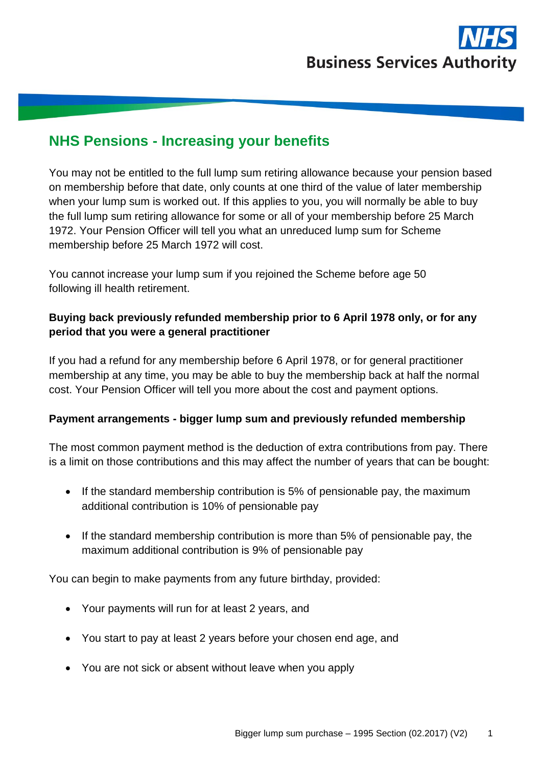

# **NHS Pensions - Increasing your benefits**

You may not be entitled to the full lump sum retiring allowance because your pension based on membership before that date, only counts at one third of the value of later membership when your lump sum is worked out. If this applies to you, you will normally be able to buy the full lump sum retiring allowance for some or all of your membership before 25 March 1972. Your Pension Officer will tell you what an unreduced lump sum for Scheme membership before 25 March 1972 will cost.

You cannot increase your lump sum if you rejoined the Scheme before age 50 following ill health retirement.

#### **Buying back previously refunded membership prior to 6 April 1978 only, or for any period that you were a general practitioner**

If you had a refund for any membership before 6 April 1978, or for general practitioner membership at any time, you may be able to buy the membership back at half the normal cost. Your Pension Officer will tell you more about the cost and payment options.

#### **Payment arrangements - bigger lump sum and previously refunded membership**

The most common payment method is the deduction of extra contributions from pay. There is a limit on those contributions and this may affect the number of years that can be bought:

- If the standard membership contribution is 5% of pensionable pay, the maximum additional contribution is 10% of pensionable pay
- If the standard membership contribution is more than 5% of pensionable pay, the maximum additional contribution is 9% of pensionable pay

You can begin to make payments from any future birthday, provided:

- Your payments will run for at least 2 years, and
- You start to pay at least 2 years before your chosen end age, and
- You are not sick or absent without leave when you apply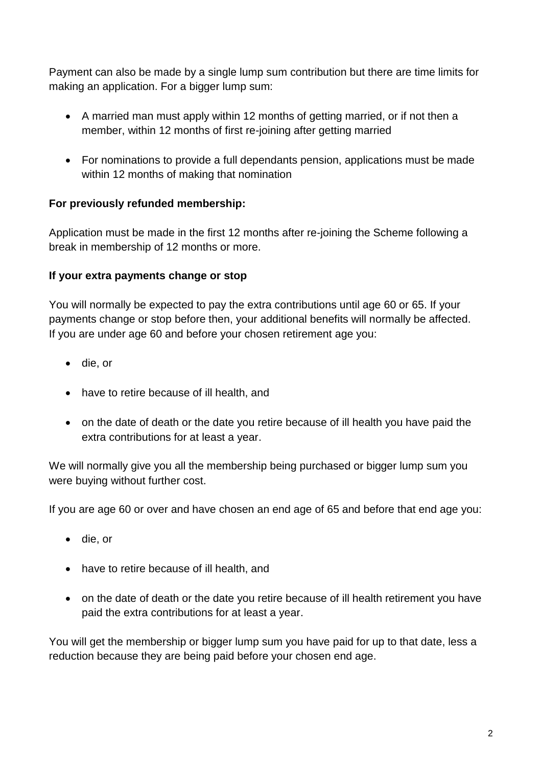Payment can also be made by a single lump sum contribution but there are time limits for making an application. For a bigger lump sum:

- A married man must apply within 12 months of getting married, or if not then a member, within 12 months of first re-joining after getting married
- For nominations to provide a full dependants pension, applications must be made within 12 months of making that nomination

## **For previously refunded membership:**

Application must be made in the first 12 months after re-joining the Scheme following a break in membership of 12 months or more.

## **If your extra payments change or stop**

You will normally be expected to pay the extra contributions until age 60 or 65. If your payments change or stop before then, your additional benefits will normally be affected. If you are under age 60 and before your chosen retirement age you:

- die, or
- have to retire because of ill health, and
- on the date of death or the date you retire because of ill health you have paid the extra contributions for at least a year.

We will normally give you all the membership being purchased or bigger lump sum you were buying without further cost.

If you are age 60 or over and have chosen an end age of 65 and before that end age you:

- die, or
- have to retire because of ill health, and
- on the date of death or the date you retire because of ill health retirement you have paid the extra contributions for at least a year.

You will get the membership or bigger lump sum you have paid for up to that date, less a reduction because they are being paid before your chosen end age.